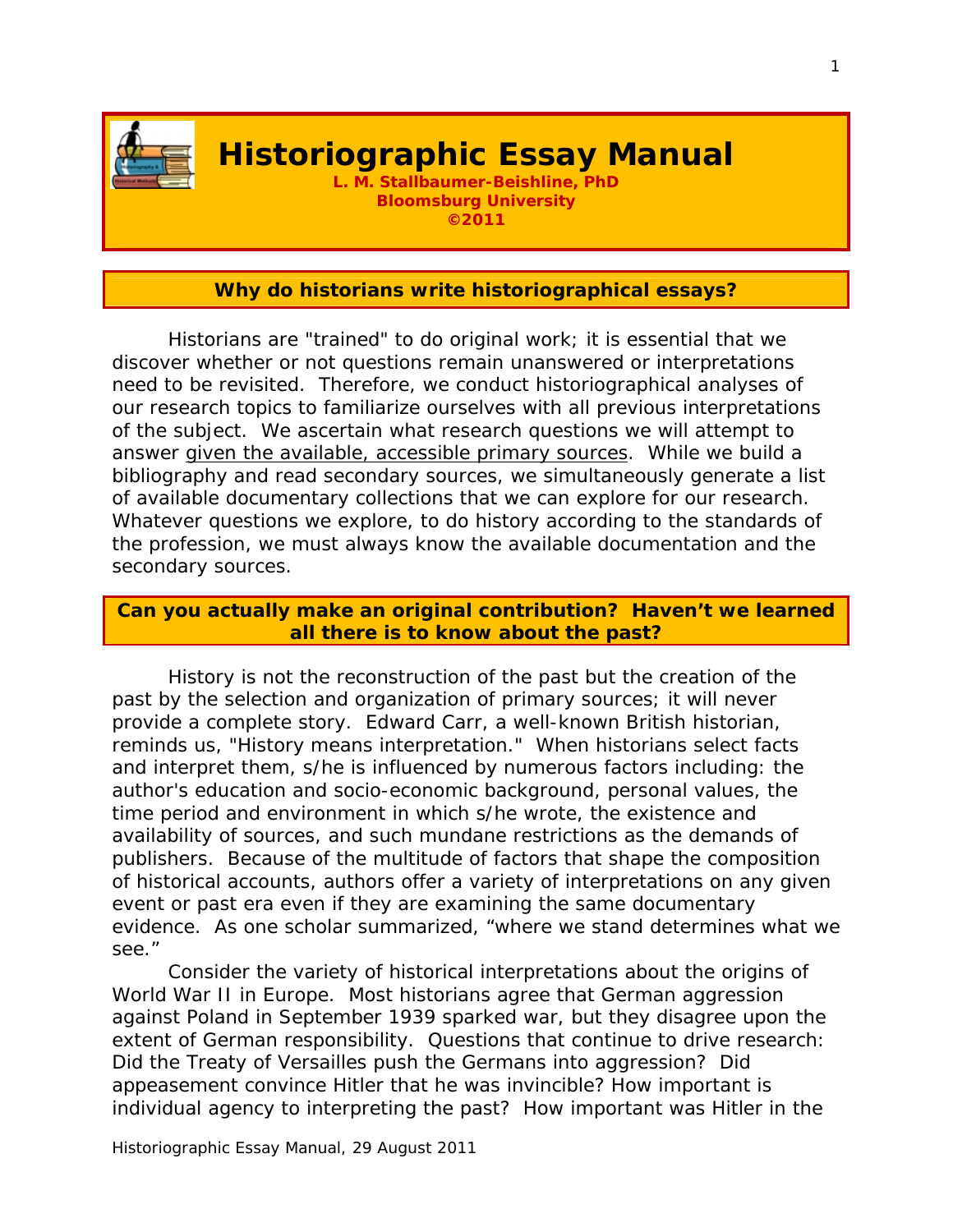

# **Historiographic Essay Manual**

**L. M. Stallbaumer-Beishline, PhD Bloomsburg University ©2011** 

#### **Why do historians write historiographical essays?**

 Historians are "trained" to do original work; it is essential that we discover whether or not questions remain unanswered or interpretations need to be revisited. Therefore, we conduct historiographical analyses of our research topics to familiarize ourselves with all previous interpretations of the subject. We ascertain what research questions we will attempt to answer given the available, accessible primary sources. While we build a bibliography and read secondary sources, we simultaneously generate a list of available documentary collections that we can explore for our research. Whatever questions we explore, to do history according to the standards of the profession, we must always know the available documentation and the secondary sources.

#### **Can you actually make an original contribution? Haven't we learned all there is to know about the past?**

History is not the reconstruction of the past but the creation of the past by the selection and organization of primary sources; it will never provide a complete story. Edward Carr, a well-known British historian, reminds us, "History means interpretation." When historians select facts and interpret them, s/he is influenced by numerous factors including: the author's education and socio-economic background, personal values, the time period and environment in which s/he wrote, the existence and availability of sources, and such mundane restrictions as the demands of publishers. Because of the multitude of factors that shape the composition of historical accounts, authors offer a variety of interpretations on any given event or past era even if they are examining the same documentary evidence. As one scholar summarized, "where we stand determines what we see."

Consider the variety of historical interpretations about the origins of World War II in Europe. Most historians agree that German aggression against Poland in September 1939 sparked war, but they disagree upon the extent of German responsibility. Questions that continue to drive research: Did the Treaty of Versailles push the Germans into aggression? Did appeasement convince Hitler that he was invincible? How important is individual agency to interpreting the past? How important was Hitler in the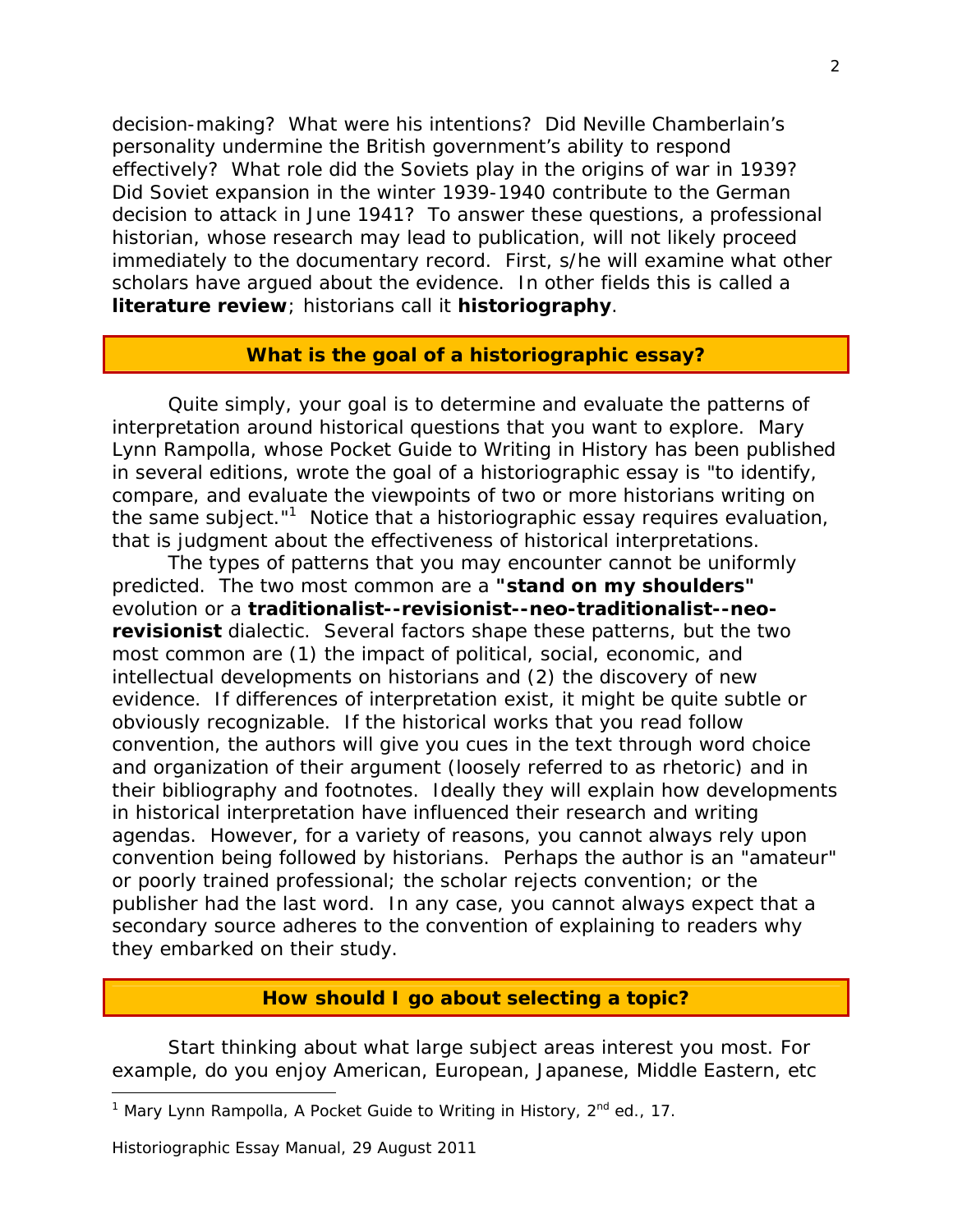decision-making? What were his intentions? Did Neville Chamberlain's personality undermine the British government's ability to respond effectively? What role did the Soviets play in the origins of war in 1939? Did Soviet expansion in the winter 1939-1940 contribute to the German decision to attack in June 1941? To answer these questions, a professional historian, whose research may lead to publication, will not likely proceed immediately to the documentary record. First, s/he will examine what other scholars have argued about the evidence. In other fields this is called a **literature review**; historians call it **historiography**.

#### **What is the goal of a historiographic essay?**

Quite simply, your goal is to determine and evaluate the patterns of interpretation around historical questions that you want to explore. Mary Lynn Rampolla, whose *Pocket Guide to Writing in History* has been published in several editions, wrote the goal of a historiographic essay is "to identify, compare, and evaluate the viewpoints of two or more historians writing on the same subject."<sup>1</sup> Notice that a historiographic essay requires evaluation, that is judgment about the effectiveness of historical interpretations.

The types of patterns that you may encounter cannot be uniformly predicted. The two most common are a **"stand on my shoulders"** evolution or a **traditionalist--revisionist--neo-traditionalist--neorevisionist** dialectic. Several factors shape these patterns, but the two most common are (1) the impact of political, social, economic, and intellectual developments on historians and (2) the discovery of new evidence. If differences of interpretation exist, it might be quite subtle or obviously recognizable. If the historical works that you read follow convention, the authors will give you cues in the text through word choice and organization of their argument (loosely referred to as rhetoric) and in their bibliography and footnotes. Ideally they will explain how developments in historical interpretation have influenced their research and writing agendas. However, for a variety of reasons, you cannot always rely upon convention being followed by historians. Perhaps the author is an "amateur" or poorly trained professional; the scholar rejects convention; or the publisher had the last word. In any case, you cannot always expect that a secondary source adheres to the convention of explaining to readers why they embarked on their study.

#### **How should I go about selecting a topic?**

Start thinking about what large subject areas interest you most. For example, do you enjoy American, European, Japanese, Middle Eastern, etc

1

<sup>&</sup>lt;sup>1</sup> Mary Lynn Rampolla, *A Pocket Guide to Writing in History*, 2<sup>nd</sup> ed., 17.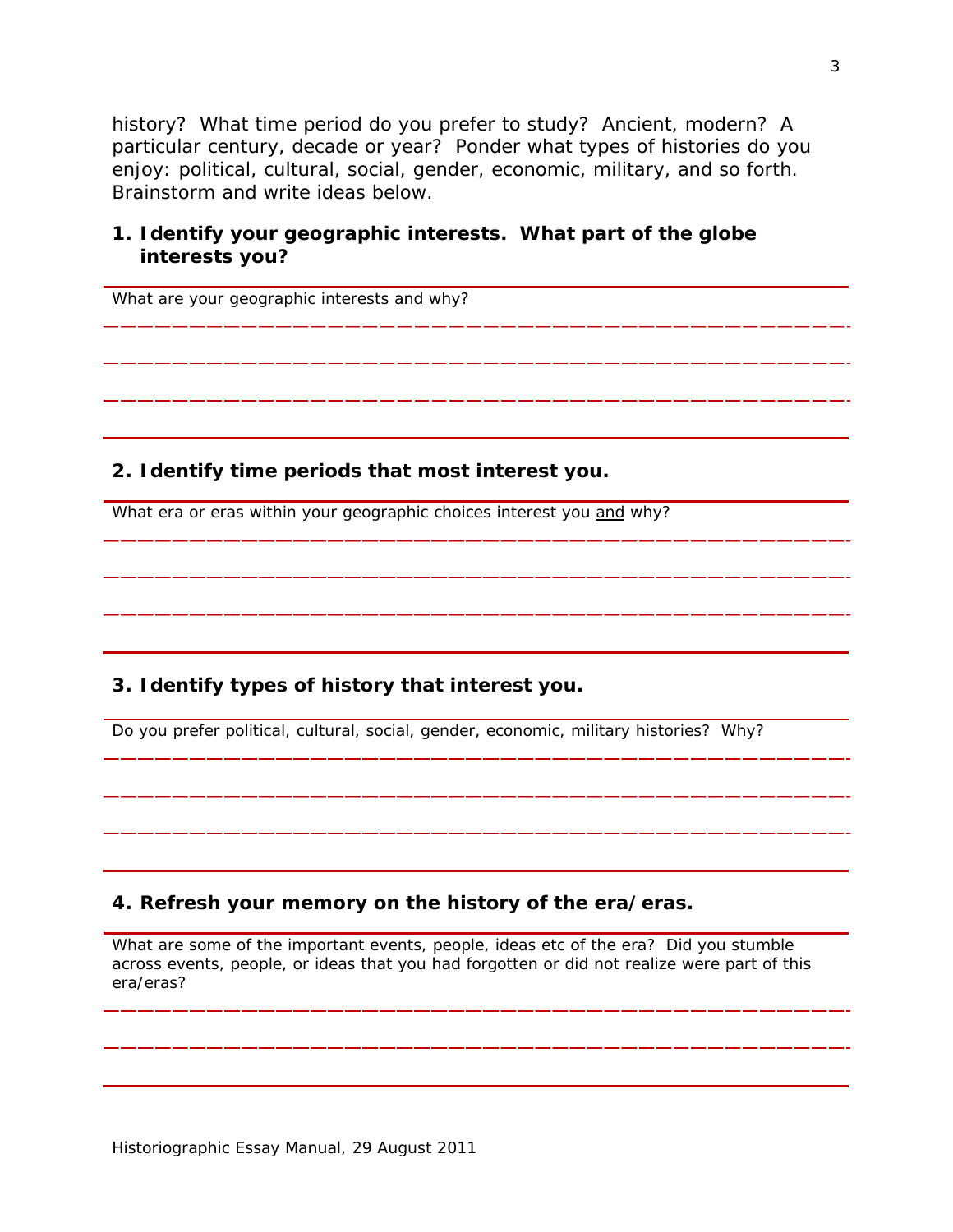history? What time period do you prefer to study? Ancient, modern? A particular century, decade or year? Ponder what types of histories do you enjoy: political, cultural, social, gender, economic, military, and so forth. Brainstorm and write ideas below.

#### **1. Identify your geographic interests. What part of the globe interests you?**

What are your geographic interests and why?

**2. Identify time periods that most interest you.** 

What era or eras within your geographic choices interest you and why?

#### **3. Identify types of history that interest you.**

Do you prefer political, cultural, social, gender, economic, military histories? Why?

#### **4. Refresh your memory on the history of the era/eras.**

What are some of the important events, people, ideas etc of the era? Did you stumble across events, people, or ideas that you had forgotten or did not realize were part of this era/eras?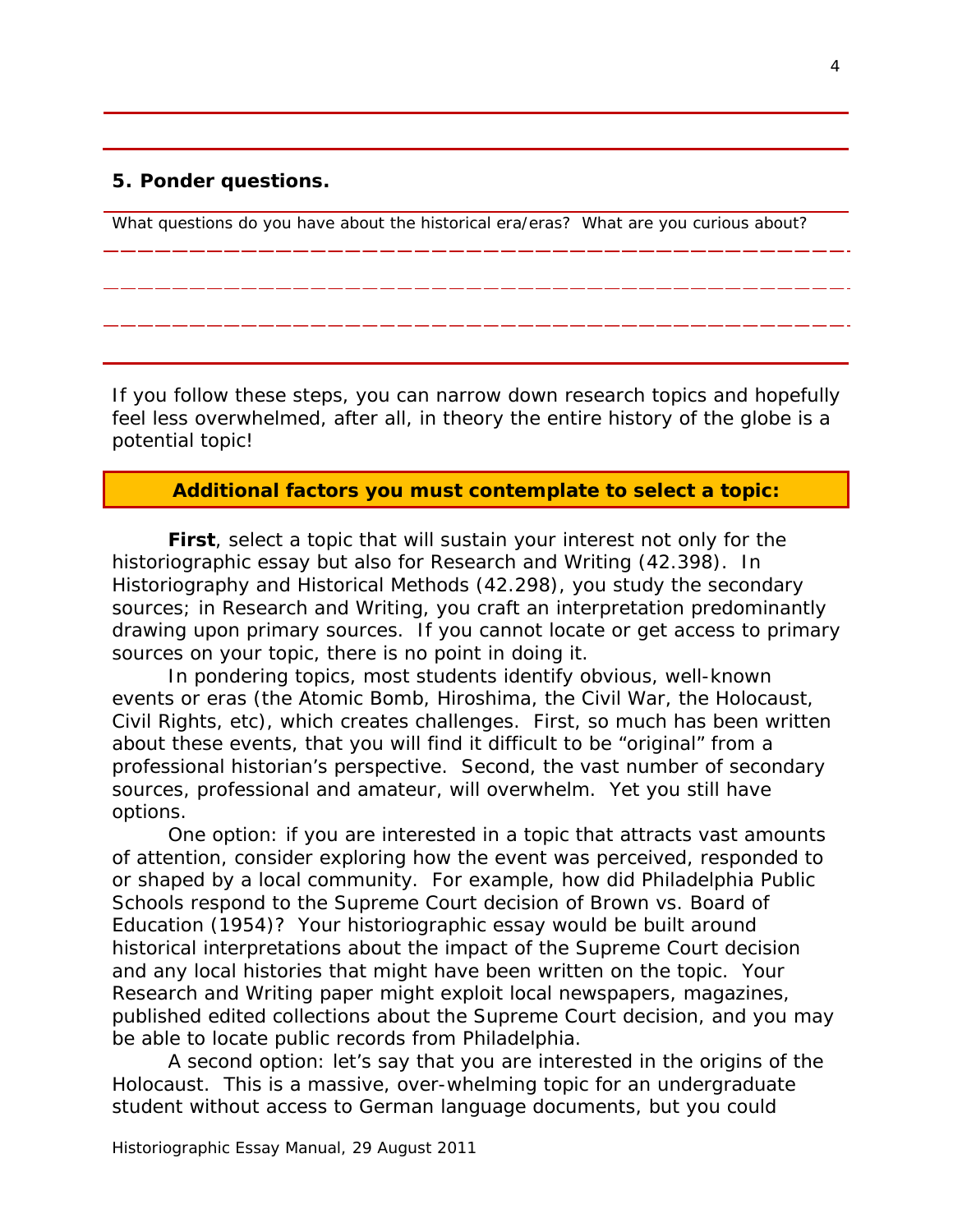#### **5. Ponder questions.**

What questions do you have about the historical era/eras? What are you curious about?

If you follow these steps, you can narrow down research topics and hopefully feel less overwhelmed, after all, in theory the entire history of the globe is a potential topic!

#### **Additional factors you must contemplate to select a topic:**

**First**, select a topic that will sustain your interest not only for the historiographic essay but also for Research and Writing (42.398). In Historiography and Historical Methods (42.298), you study the secondary sources; in Research and Writing, you craft an interpretation predominantly drawing upon primary sources. If you cannot locate or get access to primary sources on your topic, there is no point in doing it.

In pondering topics, most students identify obvious, well-known events or eras (the Atomic Bomb, Hiroshima, the Civil War, the Holocaust, Civil Rights, etc), which creates challenges. First, so much has been written about these events, that you will find it difficult to be "original" from a professional historian's perspective. Second, the vast number of secondary sources, professional and amateur, will overwhelm. Yet you still have options.

One option: if you are interested in a topic that attracts vast amounts of attention, consider exploring how the event was perceived, responded to or shaped by a local community. For example, how did Philadelphia Public Schools respond to the Supreme Court decision of *Brown vs. Board of Education* (1954)? Your historiographic essay would be built around historical interpretations about the impact of the Supreme Court decision and any local histories that might have been written on the topic. Your Research and Writing paper might exploit local newspapers, magazines, published edited collections about the Supreme Court decision, and you may be able to locate public records from Philadelphia.

A second option: let's say that you are interested in the origins of the Holocaust. This is a massive, over-whelming topic for an undergraduate student without access to German language documents, but you could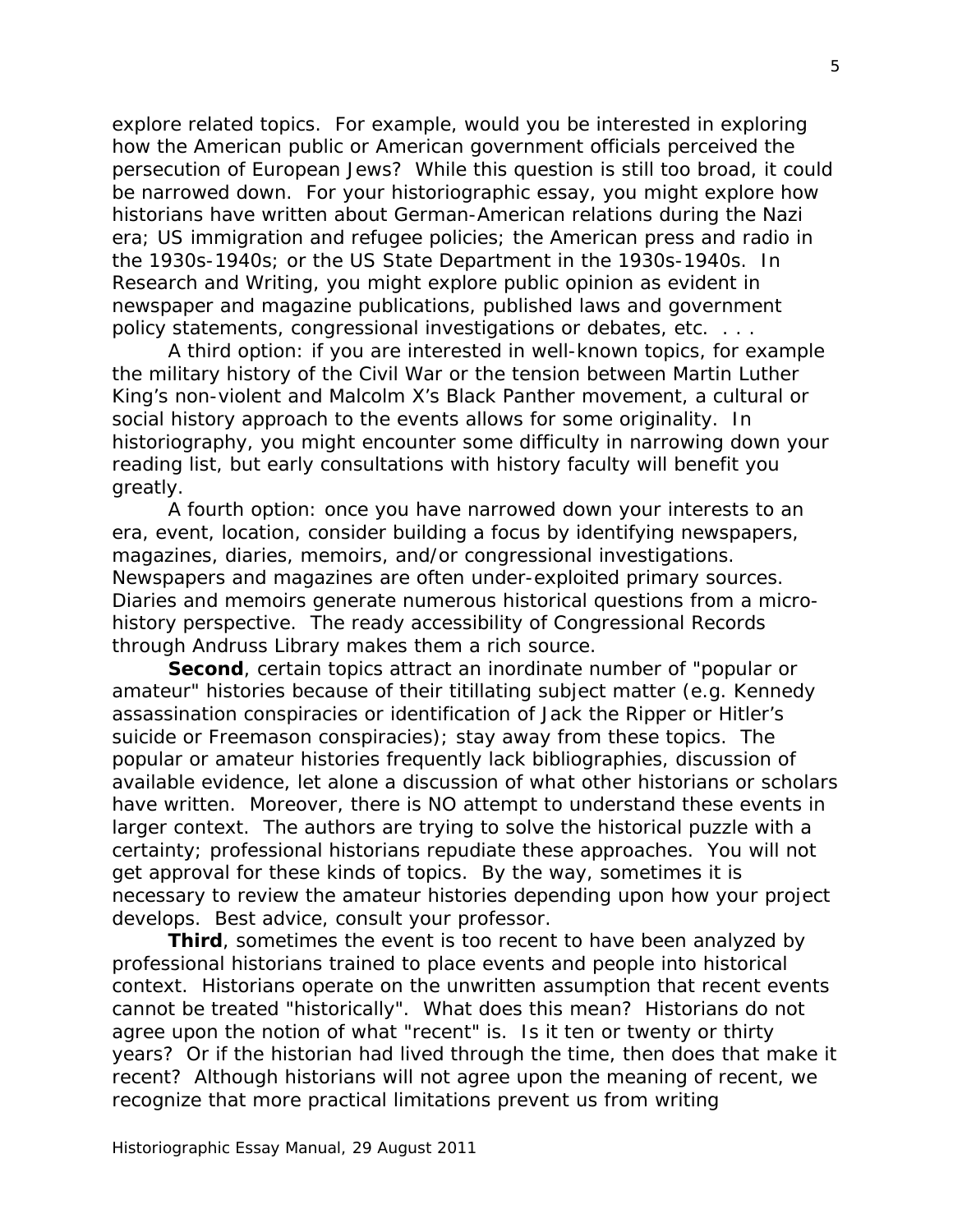explore related topics. For example, would you be interested in exploring how the American public or American government officials perceived the persecution of European Jews? While this question is still too broad, it could be narrowed down. For your historiographic essay, you might explore how historians have written about German-American relations during the Nazi era; US immigration and refugee policies; the American press and radio in the 1930s-1940s; or the US State Department in the 1930s-1940s. In Research and Writing, you might explore public opinion as evident in newspaper and magazine publications, published laws and government policy statements, congressional investigations or debates, etc. . . .

A third option: if you are interested in well-known topics, for example the military history of the Civil War or the tension between Martin Luther King's non-violent and Malcolm X's Black Panther movement, a cultural or social history approach to the events allows for some originality. In historiography, you might encounter some difficulty in narrowing down your reading list, but early consultations with history faculty will benefit you greatly.

A fourth option: once you have narrowed down your interests to an era, event, location, consider building a focus by identifying newspapers, magazines, diaries, memoirs, and/or congressional investigations. Newspapers and magazines are often under-exploited primary sources. Diaries and memoirs generate numerous historical questions from a microhistory perspective. The ready accessibility of Congressional Records through Andruss Library makes them a rich source.

**Second**, certain topics attract an inordinate number of "popular or amateur" histories because of their titillating subject matter (e.g. Kennedy assassination conspiracies or identification of Jack the Ripper or Hitler's suicide or Freemason conspiracies); stay away from these topics. The popular or amateur histories frequently lack bibliographies, discussion of available evidence, let alone a discussion of what other historians or scholars have written. Moreover, there is NO attempt to understand these events in larger context. The authors are trying to solve the historical puzzle with a certainty; professional historians repudiate these approaches. You will not get approval for these kinds of topics. By the way, sometimes it is necessary to review the amateur histories depending upon how your project develops. Best advice, consult your professor.

**Third**, sometimes the event is too recent to have been analyzed by professional historians trained to place events and people into historical context. Historians operate on the unwritten assumption that recent events cannot be treated "historically". What does this mean? Historians do not agree upon the notion of what "recent" is. Is it ten or twenty or thirty years? Or if the historian had lived through the time, then does that make it recent? Although historians will not agree upon the meaning of recent, we recognize that more practical limitations prevent us from writing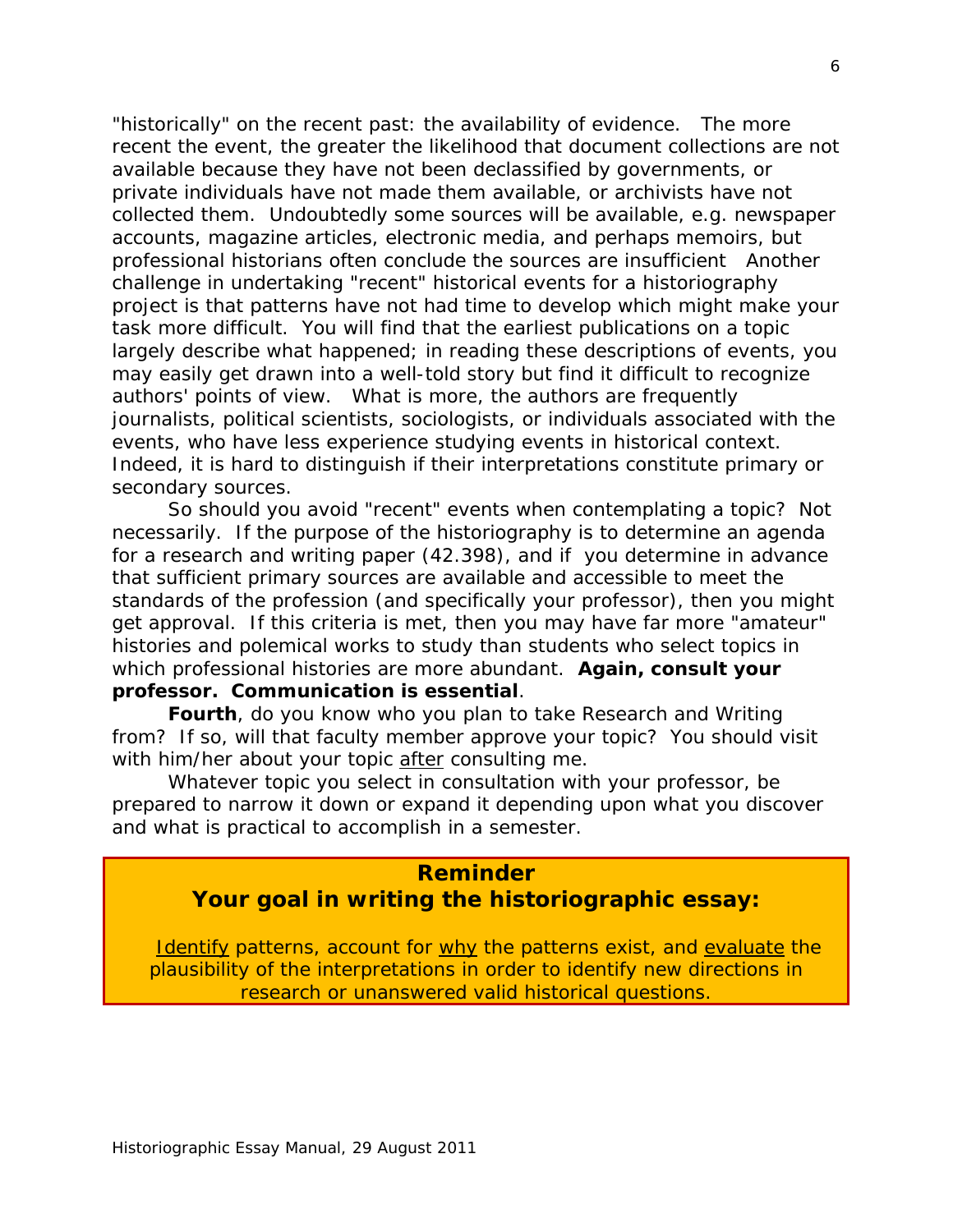"historically" on the recent past: the availability of evidence. The more recent the event, the greater the likelihood that document collections are not available because they have not been declassified by governments, or private individuals have not made them available, or archivists have not collected them. Undoubtedly some sources will be available, e.g. newspaper accounts, magazine articles, electronic media, and perhaps memoirs, but professional historians often conclude the sources are insufficient Another challenge in undertaking "recent" historical events for a historiography project is that patterns have not had time to develop which might make your task more difficult. You will find that the earliest publications on a topic largely describe what happened; in reading these descriptions of events, you may easily get drawn into a well-told story but find it difficult to recognize authors' points of view. What is more, the authors are frequently journalists, political scientists, sociologists, or individuals associated with the events, who have less experience studying events in historical context. Indeed, it is hard to distinguish if their interpretations constitute primary or secondary sources.

So should you avoid "recent" events when contemplating a topic? Not necessarily. If the purpose of the historiography is to determine an agenda for a research and writing paper (42.398), and if you determine in advance that sufficient primary sources are available and accessible to meet the standards of the profession (and specifically your professor), then you might get approval. If this criteria is met, then you may have far more "amateur" histories and polemical works to study than students who select topics in which professional histories are more abundant. **Again, consult your professor. Communication is essential**.

**Fourth**, do you know who you plan to take Research and Writing from? If so, will that faculty member approve your topic? You should visit with him/her about your topic after consulting me.

Whatever topic you select in consultation with your professor, be prepared to narrow it down or expand it depending upon what you discover and what is practical to accomplish in a semester.

## **Reminder**

## **Your goal in writing the historiographic essay:**

Identify patterns, account for why the patterns exist, and evaluate the plausibility of the interpretations in order to identify new directions in research or unanswered valid historical questions.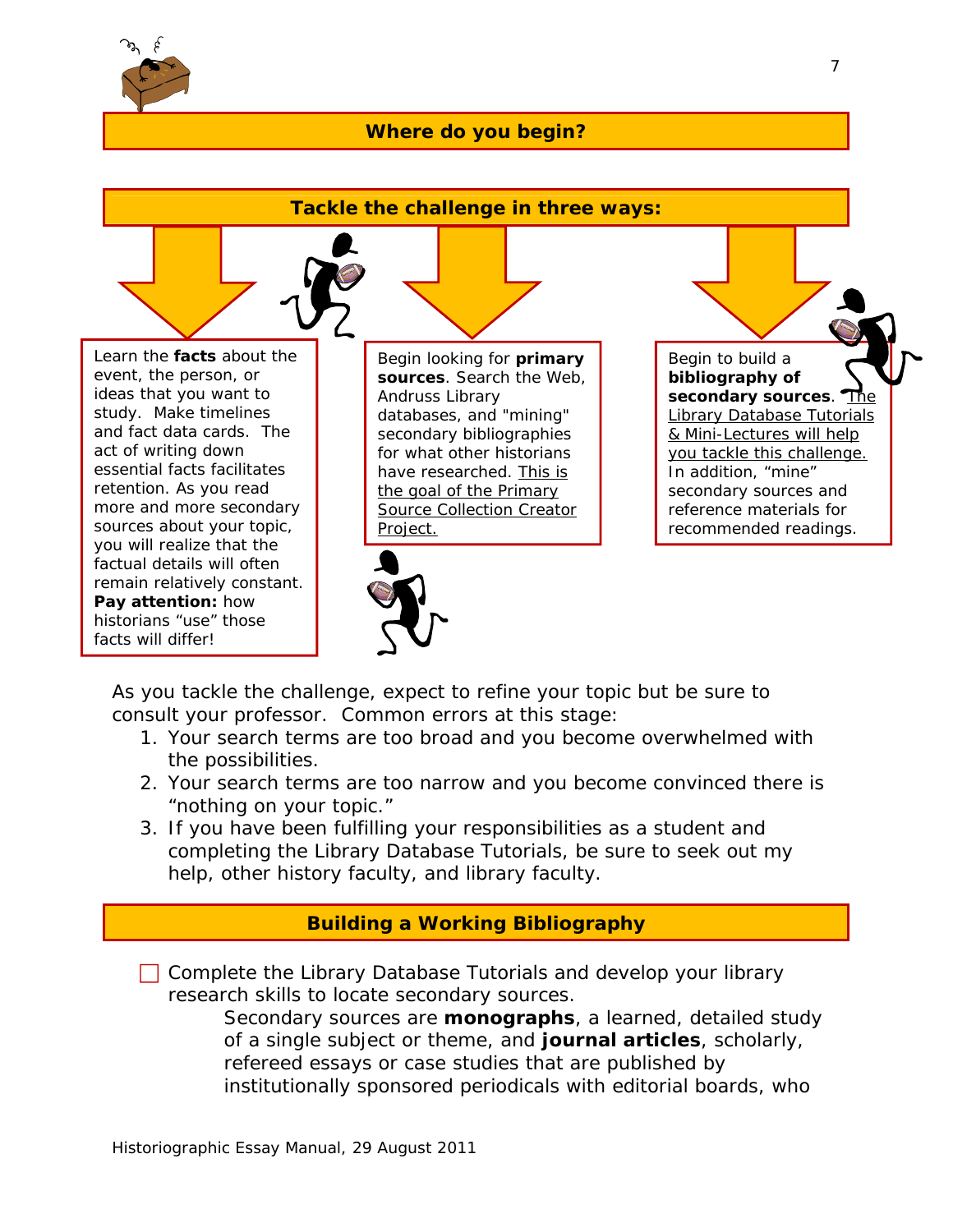

### **Where do you begin?**



As you tackle the challenge, expect to refine your topic but be sure to consult your professor. Common errors at this stage:

- 1. Your search terms are too broad and you become overwhelmed with the possibilities.
- 2. Your search terms are too narrow and you become convinced there is "nothing on your topic."
- 3. If you have been fulfilling your responsibilities as a student and completing the Library Database Tutorials, be sure to seek out my help, other history faculty, and library faculty.

## **Building a Working Bibliography**

 $\Box$  Complete the Library Database Tutorials and develop your library research skills to locate secondary sources.

Secondary sources are **monographs**, a learned, detailed study of a single subject or theme, and **journal articles**, scholarly, refereed essays or case studies that are published by institutionally sponsored periodicals with editorial boards, who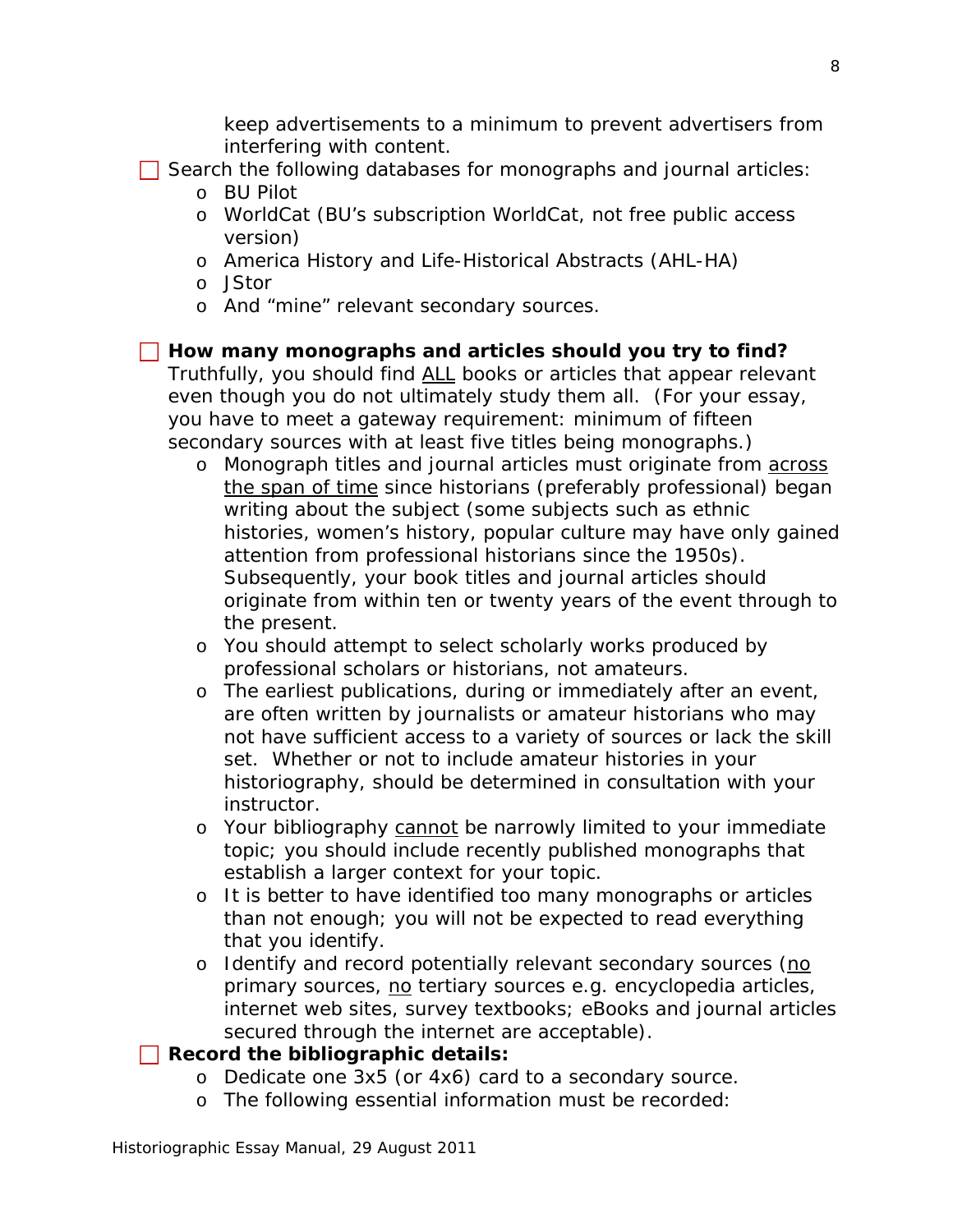keep advertisements to a minimum to prevent advertisers from interfering with content.

- $\Box$  Search the following databases for monographs and journal articles:
	- o BU Pilot
	- o WorldCat (BU's subscription WorldCat, not free public access version)
	- o America History and Life-Historical Abstracts (AHL-HA)
	- o JStor
	- o And "mine" relevant secondary sources.

### **How many monographs and articles should you try to find?**

Truthfully, you should find ALL books or articles that appear relevant even though you do not ultimately study them all. (For your essay, you have to meet a gateway requirement: minimum of fifteen secondary sources with at least five titles being monographs.)

- o Monograph titles and journal articles must originate from across the span of time since historians (preferably professional) began writing about the subject (some subjects such as ethnic histories, women's history, popular culture may have only gained attention from professional historians since the 1950s). Subsequently, your book titles and journal articles should originate from within ten or twenty years of the event through to the present.
- o You should attempt to select scholarly works produced by professional scholars or historians, not amateurs.
- o The earliest publications, during or immediately after an event, are often written by journalists or amateur historians who may not have sufficient access to a variety of sources or lack the skill set. Whether or not to include amateur histories in your historiography, should be determined in consultation with your instructor.
- o Your bibliography cannot be narrowly limited to your immediate topic; you should include recently published monographs that establish a larger context for your topic.
- o It is better to have identified too many monographs or articles than not enough; you will not be expected to read everything that you identify.
- o Identify and record potentially relevant secondary sources (no primary sources, no tertiary sources e.g. encyclopedia articles, internet web sites, survey textbooks; eBooks and journal articles secured through the internet are acceptable).
- **Record the bibliographic details:** 
	- o Dedicate one 3x5 (or 4x6) card to a secondary source.
	- o The following essential information must be recorded: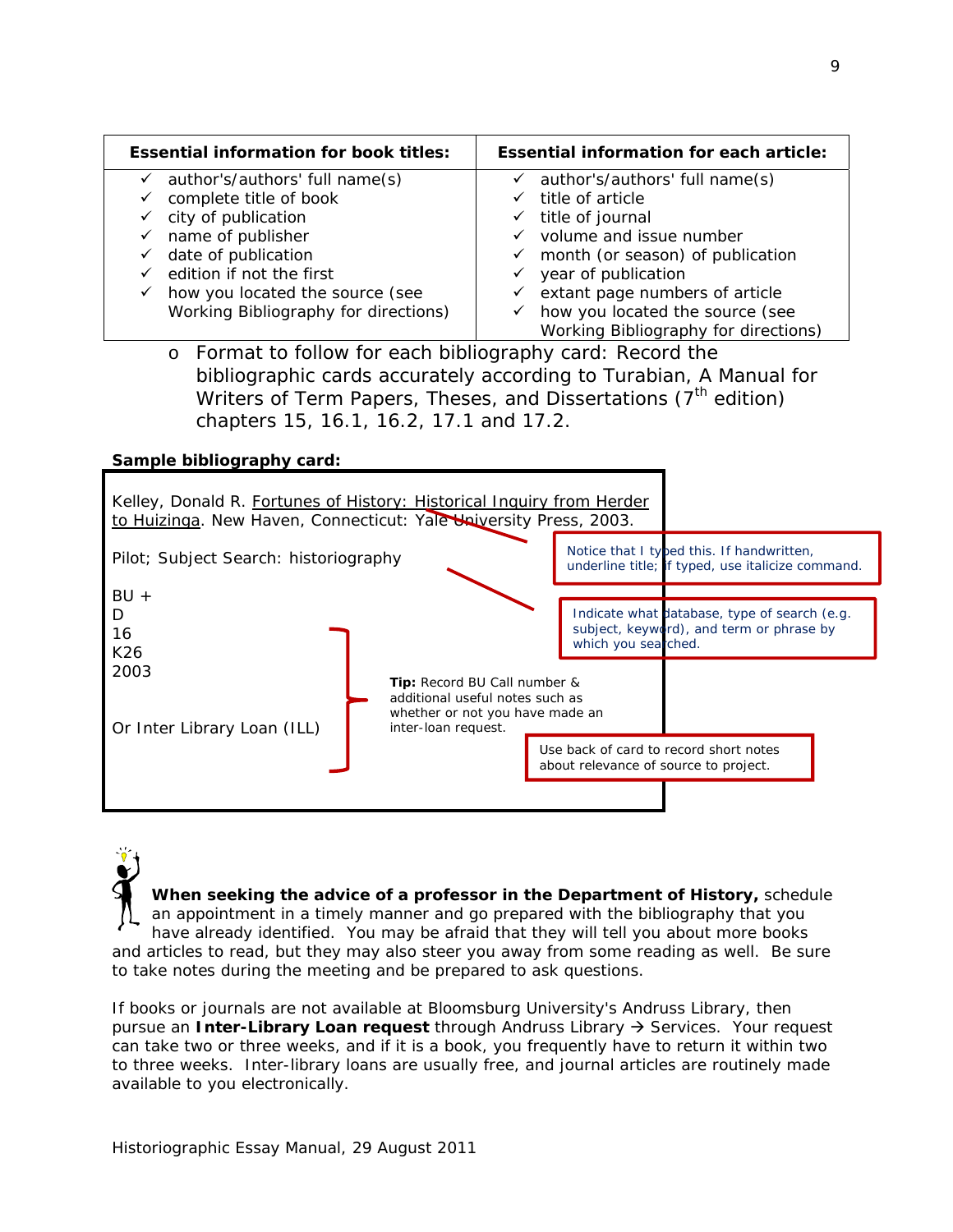| <b>Essential information for book titles:</b>                                                                                                                                                                                                                     | <b>Essential information for each article:</b>                                                                                                                                                                                                                           |
|-------------------------------------------------------------------------------------------------------------------------------------------------------------------------------------------------------------------------------------------------------------------|--------------------------------------------------------------------------------------------------------------------------------------------------------------------------------------------------------------------------------------------------------------------------|
| author's/authors' full name(s)<br>$\checkmark$<br>complete title of book<br>✓<br>$\checkmark$ city of publication<br>name of publisher<br>$\checkmark$<br>date of publication<br>✓<br>edition if not the first<br>how you located the source (see<br>$\checkmark$ | author's/authors' full name(s)<br>$\checkmark$<br>title of article<br>✓<br>title of journal<br>✓<br>volume and issue number<br>month (or season) of publication<br>$\checkmark$<br>year of publication<br>$\checkmark$<br>extant page numbers of article<br>$\checkmark$ |
| Working Bibliography for directions)<br>F II CH C IIII I I N III                                                                                                                                                                                                  | how you located the source (see<br>✓<br>Working Bibliography for directions)                                                                                                                                                                                             |

o Format to follow for each bibliography card: Record the bibliographic cards accurately according to Turabian, *A Manual for Writers of Term Papers, Theses, and Dissertations* (7<sup>th</sup> edition) chapters 15, 16.1, 16.2, 17.1 and 17.2.

#### **Sample bibliography card:**



**When seeking the advice of a professor in the Department of History,** schedule an appointment in a timely manner and go prepared with the bibliography that you have already identified. You may be afraid that they will tell you about more books and articles to read, but they may also steer you away from some reading as well. Be sure to take notes during the meeting and be prepared to ask questions.

If books or journals are not available at Bloomsburg University's Andruss Library, then pursue an **Inter-Library Loan request** through Andruss Library  $\rightarrow$  Services. Your request can take two or three weeks, and if it is a book, you frequently have to return it within two to three weeks. Inter-library loans are usually free, and journal articles are routinely made available to you electronically.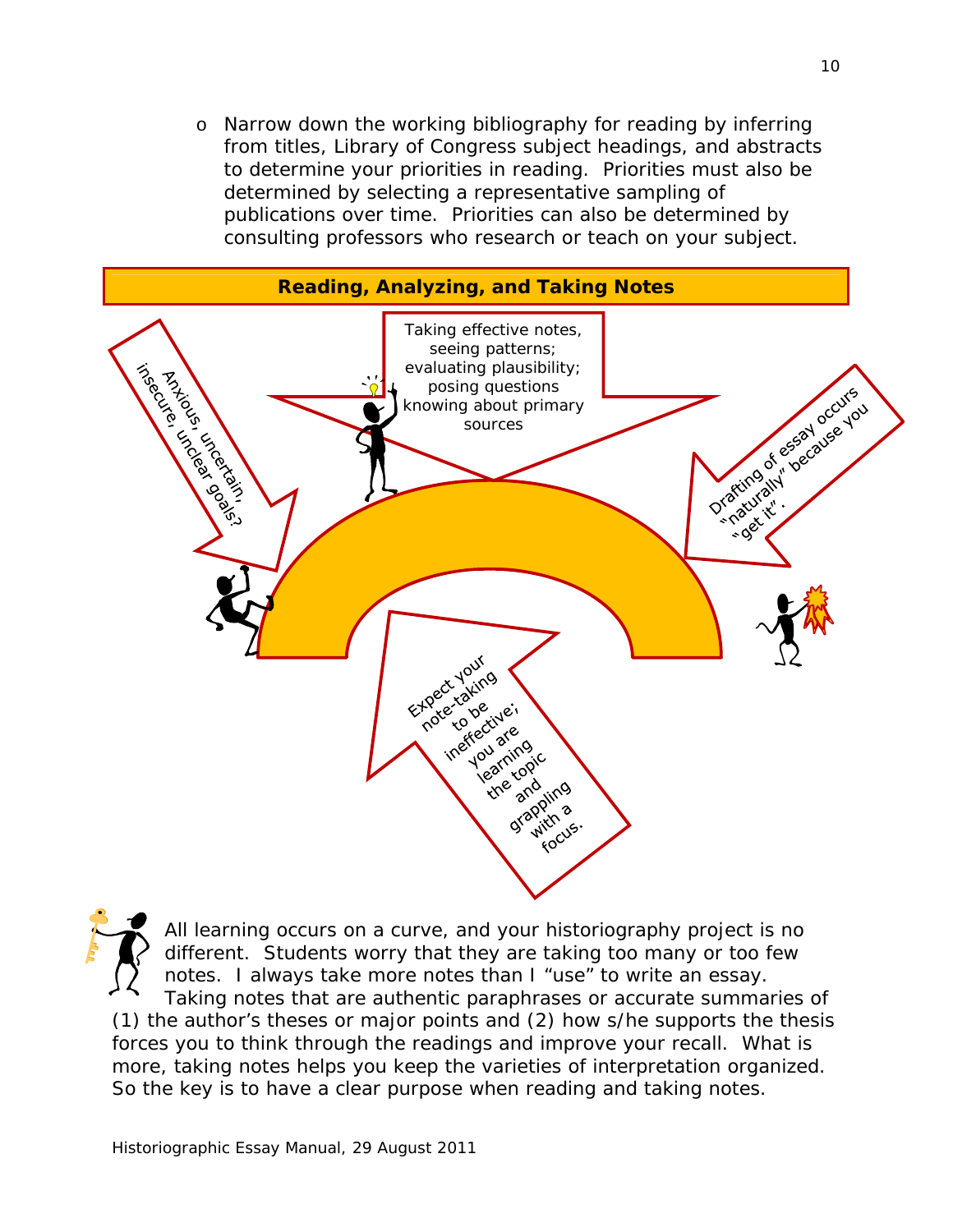o Narrow down the working bibliography for reading by inferring from titles, Library of Congress subject headings, and abstracts to determine your priorities in reading. Priorities must also be determined by selecting a representative sampling of publications over time. Priorities can also be determined by consulting professors who research or teach on your subject.



All learning occurs on a curve, and your historiography project is no different. Students worry that they are taking too many or too few notes. I always take more notes than I "use" to write an essay. Taking notes that are authentic paraphrases or accurate summaries of (1) the author's theses or major points and (2) how s/he supports the thesis forces you to think through the readings and improve your recall. What is more, taking notes helps you keep the varieties of interpretation organized. So the key is to have a clear purpose when reading and taking notes.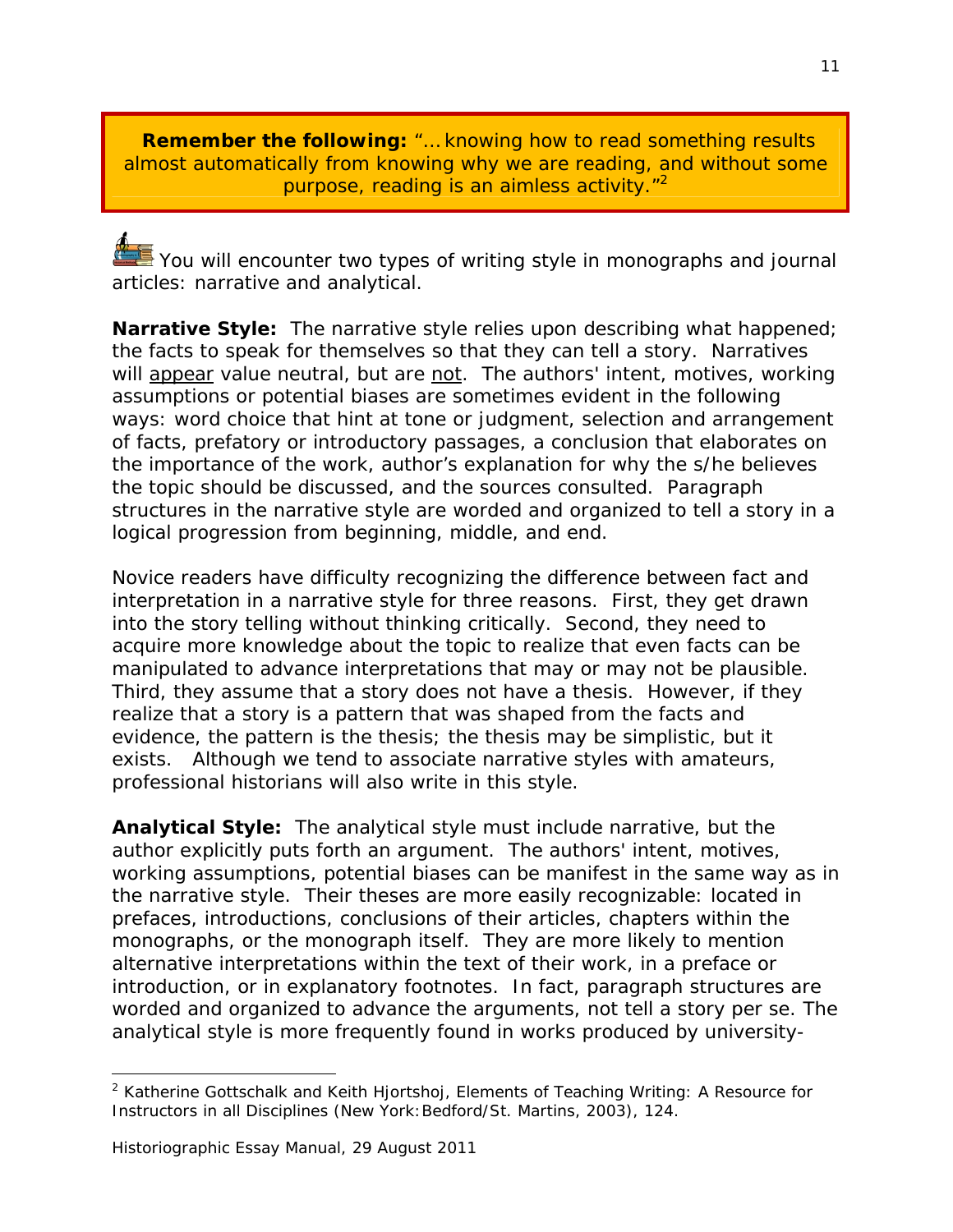**Remember the following:** "… knowing how to read something results almost automatically from knowing why we are reading, and without some purpose, reading is an aimless activity."<sup>2</sup>

 $\triangle$  You will encounter two types of writing style in monographs and journal articles: narrative and analytical.

**Narrative Style:** The narrative style relies upon describing what happened; the facts to speak for themselves so that they can tell a story. Narratives will appear value neutral, but are not. The authors' intent, motives, working assumptions or potential biases are sometimes evident in the following ways: word choice that hint at tone or judgment, selection and arrangement of facts, prefatory or introductory passages, a conclusion that elaborates on the importance of the work, author's explanation for why the s/he believes the topic should be discussed, and the sources consulted. Paragraph structures in the narrative style are worded and organized to tell a story in a logical progression from beginning, middle, and end.

Novice readers have difficulty recognizing the difference between fact and interpretation in a narrative style for three reasons. First, they get drawn into the story telling without thinking critically. Second, they need to acquire more knowledge about the topic to realize that even facts can be manipulated to advance interpretations that may or may not be plausible. Third, they assume that a story does not have a thesis. However, if they realize that a story is a pattern that was shaped from the facts and evidence, the pattern is the thesis; the thesis may be simplistic, but it exists. Although we tend to associate narrative styles with amateurs, professional historians will also write in this style.

**Analytical Style:** The analytical style must include narrative, but the author explicitly puts forth an argument. The authors' intent, motives, working assumptions, potential biases can be manifest in the same way as in the narrative style. Their theses are more easily recognizable: located in prefaces, introductions, conclusions of their articles, chapters within the monographs, or the monograph itself. They are more likely to mention alternative interpretations within the text of their work, in a preface or introduction, or in explanatory footnotes. In fact, paragraph structures are worded and organized to advance the arguments, not tell a story *per se*. The analytical style is more frequently found in works produced by university-

-

<sup>2</sup> Katherine Gottschalk and Keith Hjortshoj, *Elements of Teaching Writing: A Resource for Instructors in all Disciplines* (New York:Bedford/St. Martins, 2003), 124.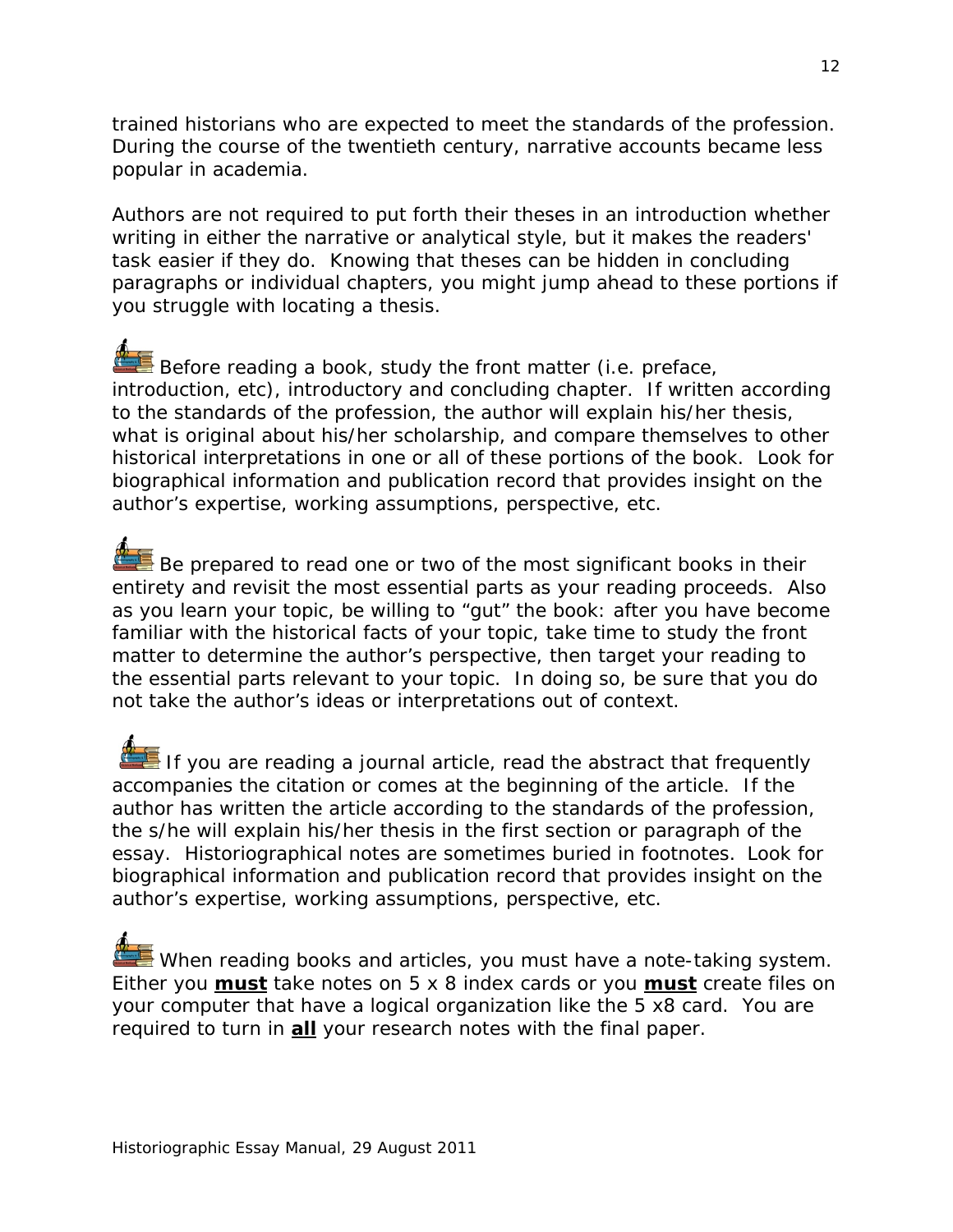trained historians who are expected to meet the standards of the profession. During the course of the twentieth century, narrative accounts became less popular in academia.

Authors are not required to put forth their theses in an introduction whether writing in either the narrative or analytical style, but it makes the readers' task easier if they do. Knowing that theses can be hidden in concluding paragraphs or individual chapters, you might jump ahead to these portions if you struggle with locating a thesis.

Before reading a book, study the front matter (i.e. preface, introduction, etc), introductory and concluding chapter. If written according to the standards of the profession, the author will explain his/her thesis, what is original about his/her scholarship, and compare themselves to other historical interpretations in one or all of these portions of the book. Look for biographical information and publication record that provides insight on the author's expertise, working assumptions, perspective, etc.

 $\blacksquare$  Be prepared to read one or two of the most significant books in their entirety and revisit the most essential parts as your reading proceeds. Also as you learn your topic, be willing to "gut" the book: after you have become familiar with the historical facts of your topic, take time to study the front matter to determine the author's perspective, then target your reading to the essential parts relevant to your topic. In doing so, be sure that you do not take the author's ideas or interpretations out of context.

If you are reading a journal article, read the abstract that frequently accompanies the citation or comes at the beginning of the article. If the author has written the article according to the standards of the profession, the s/he will explain his/her thesis in the first section or paragraph of the essay. Historiographical notes are sometimes buried in footnotes. Look for biographical information and publication record that provides insight on the author's expertise, working assumptions, perspective, etc.

When reading books and articles, you must have a note-taking system. Either you **must** take notes on 5 x 8 index cards or you **must** create files on your computer that have a logical organization like the 5 x8 card. You are required to turn in **all** your research notes with the final paper.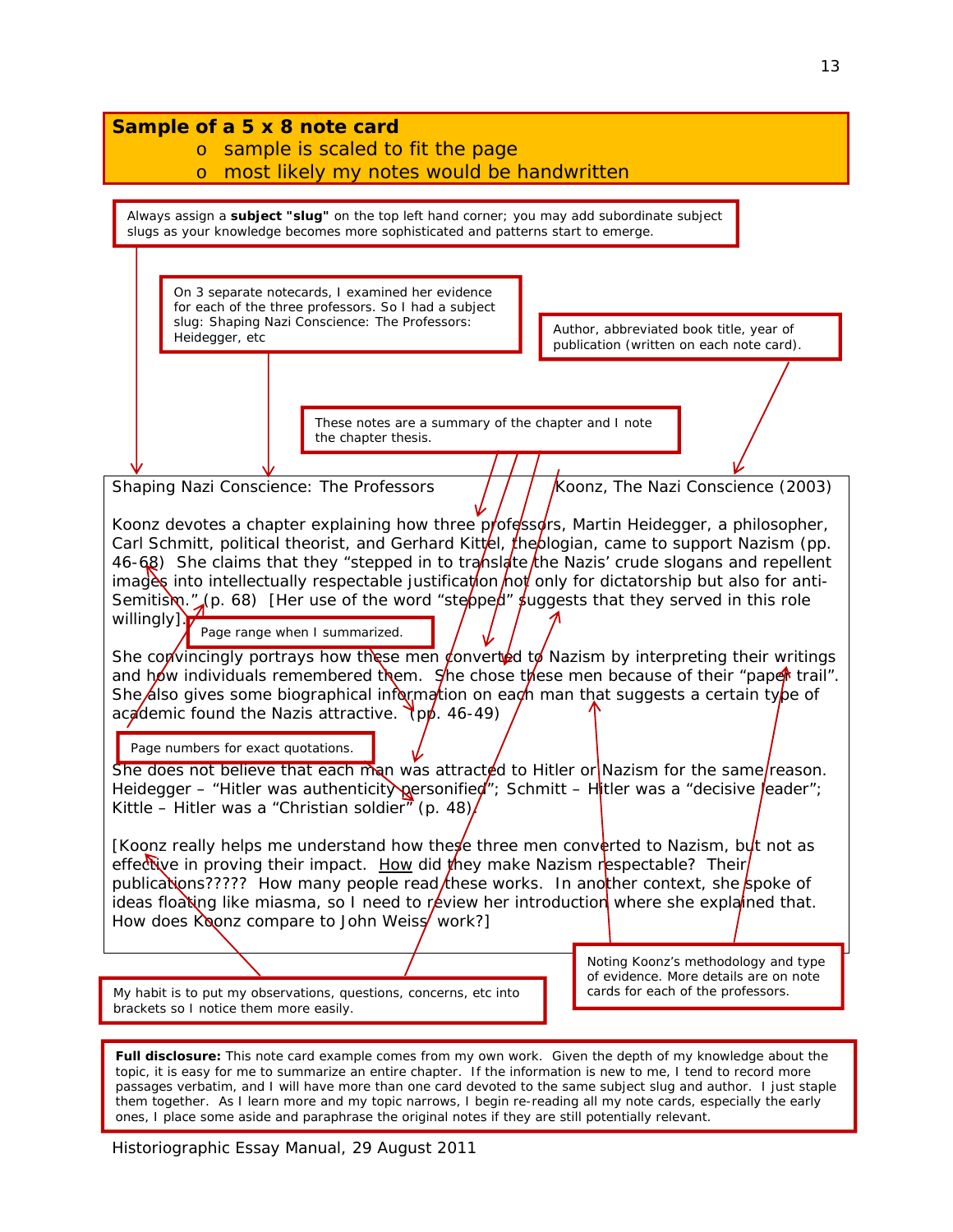| Sample of a 5 x 8 note card<br>sample is scaled to fit the page<br>$\overline{O}$<br>most likely my notes would be handwritten<br>$\circ$                                                                                                                                                                                                                                                                                                                                                                                                                                                                                                                                                                                                                                                                                                                                                                                                                                                                                                                                                                                                                                                                                                                                                                                                                                                                                                                                                                                                                                                                                                                                                  |                                                                                                                   |  |
|--------------------------------------------------------------------------------------------------------------------------------------------------------------------------------------------------------------------------------------------------------------------------------------------------------------------------------------------------------------------------------------------------------------------------------------------------------------------------------------------------------------------------------------------------------------------------------------------------------------------------------------------------------------------------------------------------------------------------------------------------------------------------------------------------------------------------------------------------------------------------------------------------------------------------------------------------------------------------------------------------------------------------------------------------------------------------------------------------------------------------------------------------------------------------------------------------------------------------------------------------------------------------------------------------------------------------------------------------------------------------------------------------------------------------------------------------------------------------------------------------------------------------------------------------------------------------------------------------------------------------------------------------------------------------------------------|-------------------------------------------------------------------------------------------------------------------|--|
| Always assign a subject "slug" on the top left hand corner; you may add subordinate subject<br>slugs as your knowledge becomes more sophisticated and patterns start to emerge.                                                                                                                                                                                                                                                                                                                                                                                                                                                                                                                                                                                                                                                                                                                                                                                                                                                                                                                                                                                                                                                                                                                                                                                                                                                                                                                                                                                                                                                                                                            |                                                                                                                   |  |
| On 3 separate notecards, I examined her evidence<br>for each of the three professors. So I had a subject<br>slug: Shaping Nazi Conscience: The Professors:<br>Heidegger, etc                                                                                                                                                                                                                                                                                                                                                                                                                                                                                                                                                                                                                                                                                                                                                                                                                                                                                                                                                                                                                                                                                                                                                                                                                                                                                                                                                                                                                                                                                                               | Author, abbreviated book title, year of<br>publication (written on each note card).                               |  |
| These notes are a summary of the chapter and I note<br>the chapter thesis.                                                                                                                                                                                                                                                                                                                                                                                                                                                                                                                                                                                                                                                                                                                                                                                                                                                                                                                                                                                                                                                                                                                                                                                                                                                                                                                                                                                                                                                                                                                                                                                                                 |                                                                                                                   |  |
| Koonz, The Nazi Conscience (2003)<br>Shaping Nazi Conscience: The Professors<br>Koonz devotes a chapter explaining how three professors, Martin Heidegger, a philosopher,<br>Carl Schmitt, political theorist, and Gerhard Kittel, the blogian, came to support Nazism (pp.<br>46-68) She claims that they "stepped in to translate the Nazis' crude slogans and repellent<br>images into intellectually respectable justification not only for dictatorship but also for anti-<br>Semitism. " (p. 68) [Her use of the word "steoped" suggests that they served in this role<br>willingly]<br>Page range when I summarized.<br>She convincingly portrays how these men converted to Nazism by interpreting their writings<br>and how individuals remembered them. She chose these men because of their "paper trail".<br>She also gives some biographical information on each man that suggests a certain type of<br>academic found the Nazis attractive. (pp. 46-49)<br>Page numbers for exact quotations.<br>She does not believe that each man was attracted to Hitler or Nazism for the same/reason.<br>Heidegger – "Hitler was authenticity personified"; Schmitt – Hitler was a "decisive leader";<br>Kittle - Hitler was a "Christian soldier" (p. 48)/<br>[Koonz really helps me understand how the $\frac{1}{2}$ three men converted to Nazism, byt not as<br>effective in proving their impact. How did they make Nazism respectable? Their<br>publications????? How many people read/these works. In another context, she spoke of<br>ideas floating like miasma, so I need to review her introduction where she explained that.<br>How does Koonz compare to John Weiss work?] |                                                                                                                   |  |
| My habit is to put my observations, questions, concerns, etc into<br>brackets so I notice them more easily.                                                                                                                                                                                                                                                                                                                                                                                                                                                                                                                                                                                                                                                                                                                                                                                                                                                                                                                                                                                                                                                                                                                                                                                                                                                                                                                                                                                                                                                                                                                                                                                | Noting Koonz's methodology and type<br>of evidence. More details are on note<br>cards for each of the professors. |  |
| Full disclosure: This note card example comes from my own work. Given the depth of my knowledge about the<br>topic, it is easy for me to summarize an entire chapter. If the information is new to me, I tend to record more<br>passages verbatim, and I will have more than one card devoted to the same subject slug and author. I just staple<br>them together. As I learn more and my topic narrows, I begin re-reading all my note cards, especially the early                                                                                                                                                                                                                                                                                                                                                                                                                                                                                                                                                                                                                                                                                                                                                                                                                                                                                                                                                                                                                                                                                                                                                                                                                        |                                                                                                                   |  |

Historiographic Essay Manual, 29 August 2011

ones, I place some aside and paraphrase the original notes if they are still potentially relevant.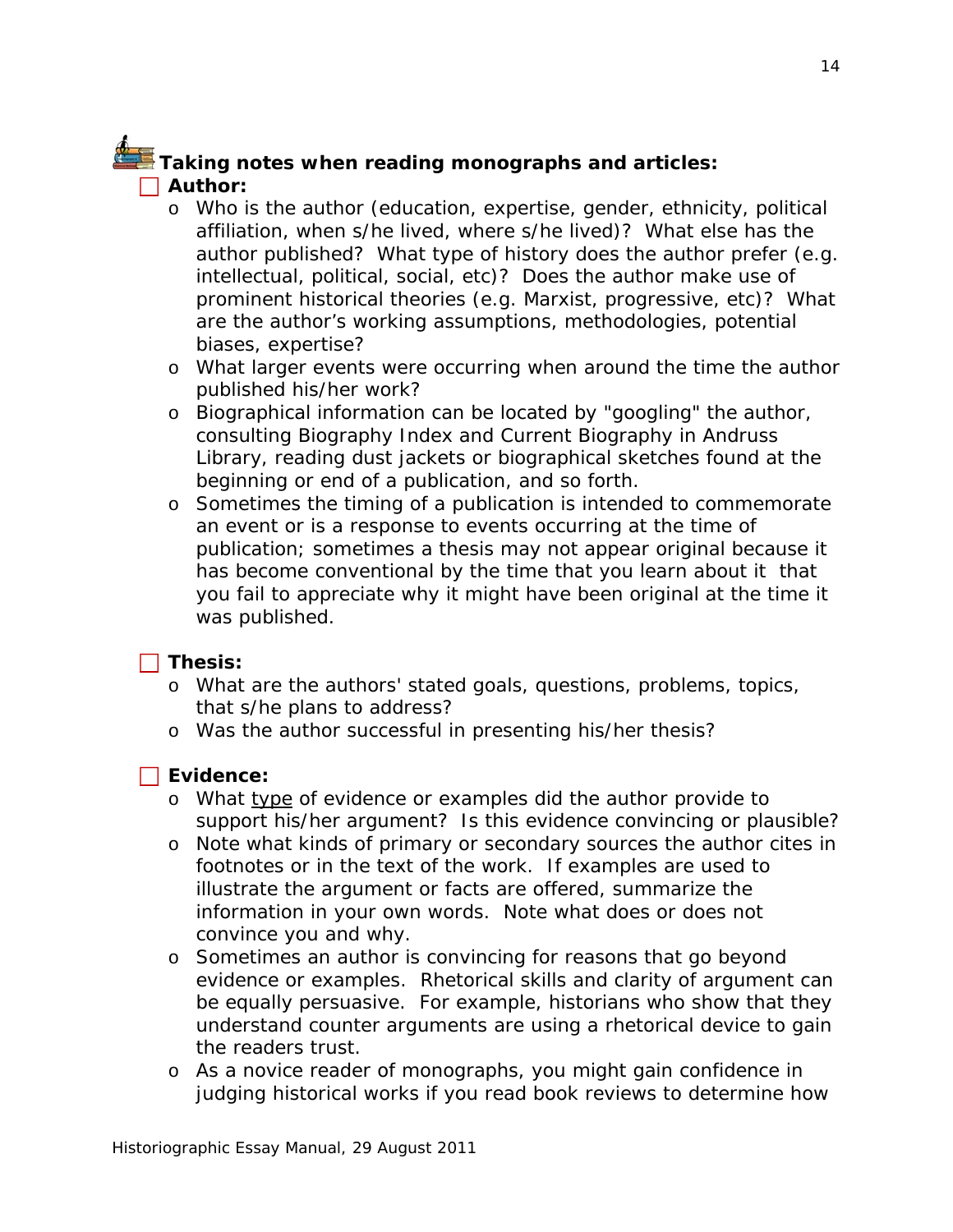## **Taking notes when reading monographs and articles: Author:**

- o Who is the author (education, expertise, gender, ethnicity, political affiliation, when s/he lived, where s/he lived)? What else has the author published? What type of history does the author prefer (e.g. intellectual, political, social, etc)? Does the author make use of prominent historical theories (e.g. Marxist, progressive, etc)? What are the author's working assumptions, methodologies, potential biases, expertise?
- o What larger events were occurring when around the time the author published his/her work?
- o Biographical information can be located by "googling" the author, consulting *Biography Index* and *Current Biography* in Andruss Library, reading dust jackets or biographical sketches found at the beginning or end of a publication, and so forth.
- o Sometimes the timing of a publication is intended to commemorate an event or is a response to events occurring at the time of publication; sometimes a thesis may not appear original because it has become conventional by the time that you learn about it that you fail to appreciate why it might have been original at the time it was published.

### **Thesis:**

- o What are the authors' stated goals, questions, problems, topics, that s/he plans to address?
- o Was the author successful in presenting his/her thesis?

### **Evidence:**

- o What type of evidence or examples did the author provide to support his/her argument? Is this evidence convincing or plausible?
- o Note what kinds of primary or secondary sources the author cites in footnotes or in the text of the work. If examples are used to illustrate the argument or facts are offered, summarize the information in your own words. Note what does or does not convince you and why.
- o Sometimes an author is convincing for reasons that go beyond evidence or examples. Rhetorical skills and clarity of argument can be equally persuasive. For example, historians who show that they understand counter arguments are using a rhetorical device to gain the readers trust.
- o As a novice reader of monographs, you might gain confidence in judging historical works if you read book reviews to determine how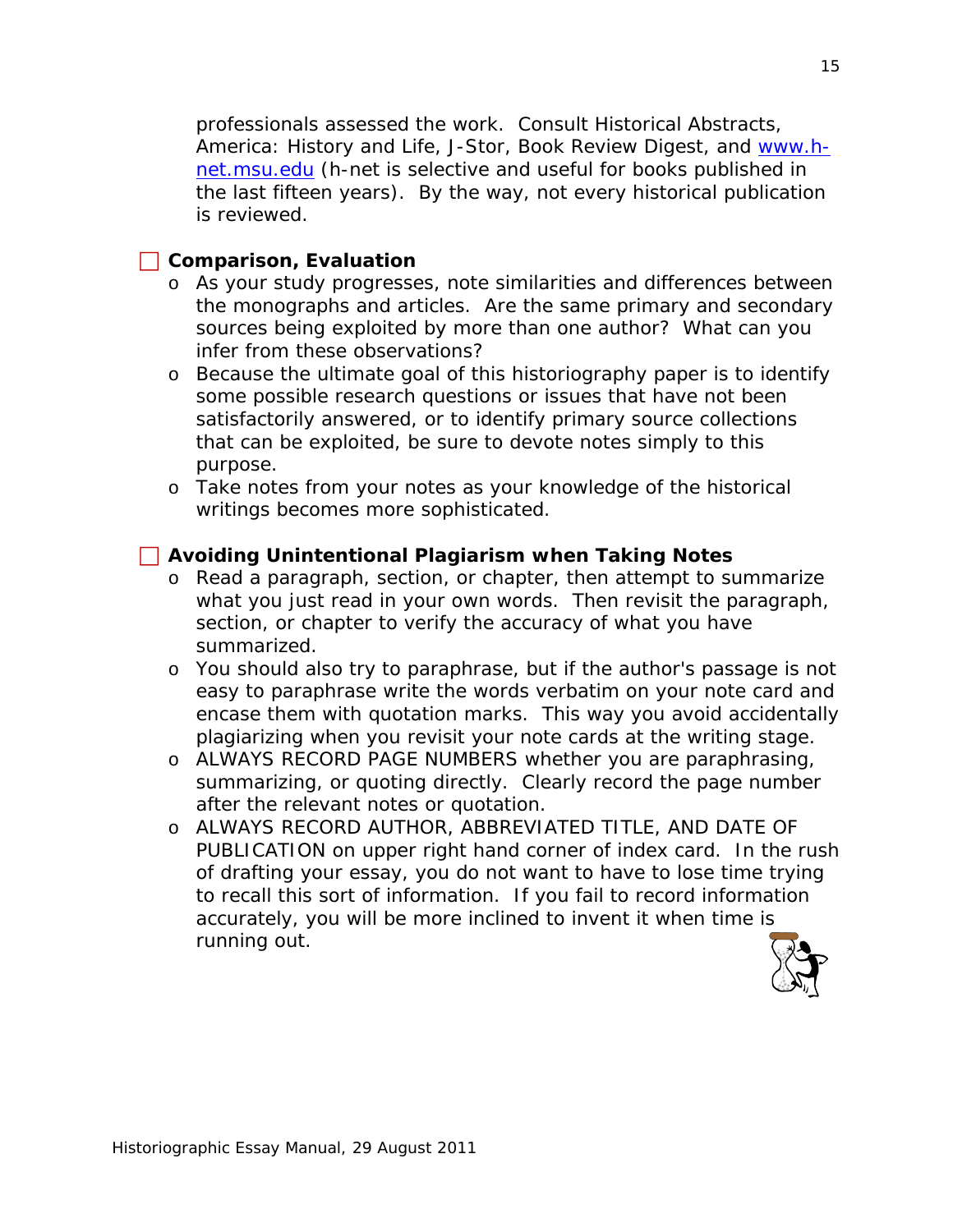professionals assessed the work. Consult Historical Abstracts, America: History and Life, J-Stor, *Book Review Digest*, and www.hnet.msu.edu (h-net is selective and useful for books published in the last fifteen years). By the way, not every historical publication is reviewed.

#### **Comparison, Evaluation**

- o As your study progresses, note similarities and differences between the monographs and articles. Are the same primary and secondary sources being exploited by more than one author? What can you infer from these observations?
- o Because the ultimate goal of this historiography paper is to identify some possible research questions or issues that have not been satisfactorily answered, or to identify primary source collections that can be exploited, be sure to devote notes simply to this purpose.
- o Take notes from your notes as your knowledge of the historical writings becomes more sophisticated.

### **Avoiding Unintentional Plagiarism when Taking Notes**

- o Read a paragraph, section, or chapter, then attempt to summarize what you just read in your own words. Then revisit the paragraph, section, or chapter to verify the accuracy of what you have summarized.
- o You should also try to paraphrase, but if the author's passage is not easy to paraphrase write the words verbatim on your note card and encase them with quotation marks. This way you avoid accidentally plagiarizing when you revisit your note cards at the writing stage.
- o ALWAYS RECORD PAGE NUMBERS whether you are paraphrasing, summarizing, or quoting directly. Clearly record the page number after the relevant notes or quotation.
- o ALWAYS RECORD AUTHOR, ABBREVIATED TITLE, AND DATE OF PUBLICATION on upper right hand corner of index card. In the rush of drafting your essay, you do not want to have to lose time trying to recall this sort of information. If you fail to record information accurately, you will be more inclined to invent it when time is running out.

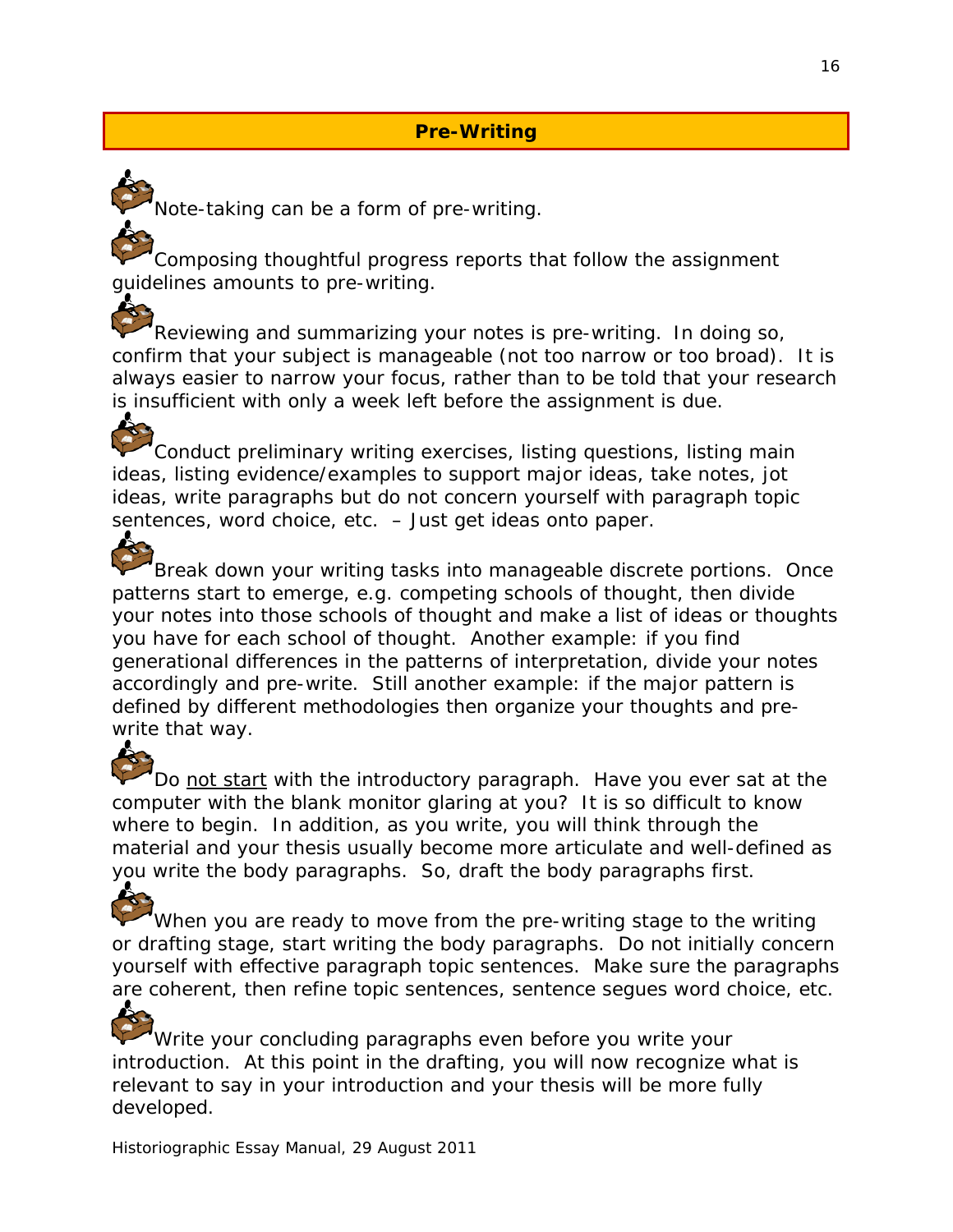## **Pre-Writing**

Note-taking can be a form of pre-writing.

Composing thoughtful progress reports that follow the assignment guidelines amounts to pre-writing.

Reviewing and summarizing your notes is pre-writing. In doing so, confirm that your subject is manageable (not too narrow or too broad). It is always easier to narrow your focus, rather than to be told that your research is insufficient with only a week left before the assignment is due.

Conduct preliminary writing exercises, listing questions, listing main ideas, listing evidence/examples to support major ideas, take notes, jot ideas, write paragraphs but do not concern yourself with paragraph topic sentences, word choice, etc. – Just get ideas onto paper. 4

Break down your writing tasks into manageable discrete portions. Once patterns start to emerge, e.g. competing schools of thought, then divide your notes into those schools of thought and make a list of ideas or thoughts you have for each school of thought. Another example: if you find generational differences in the patterns of interpretation, divide your notes accordingly and pre-write. Still another example: if the major pattern is defined by different methodologies then organize your thoughts and prewrite that way.

Do not start with the introductory paragraph. Have you ever sat at the computer with the blank monitor glaring at you? It is so difficult to know where to begin. In addition, as you write, you will think through the material and your thesis usually become more articulate and well-defined as you write the body paragraphs. So, draft the body paragraphs first.

When you are ready to move from the pre-writing stage to the writing or drafting stage, start writing the body paragraphs. Do not initially concern yourself with effective paragraph topic sentences. Make sure the paragraphs are coherent, then refine topic sentences, sentence segues word choice, etc.

Write your concluding paragraphs even before you write your introduction. At this point in the drafting, you will now recognize what is relevant to say in your introduction and your thesis will be more fully developed.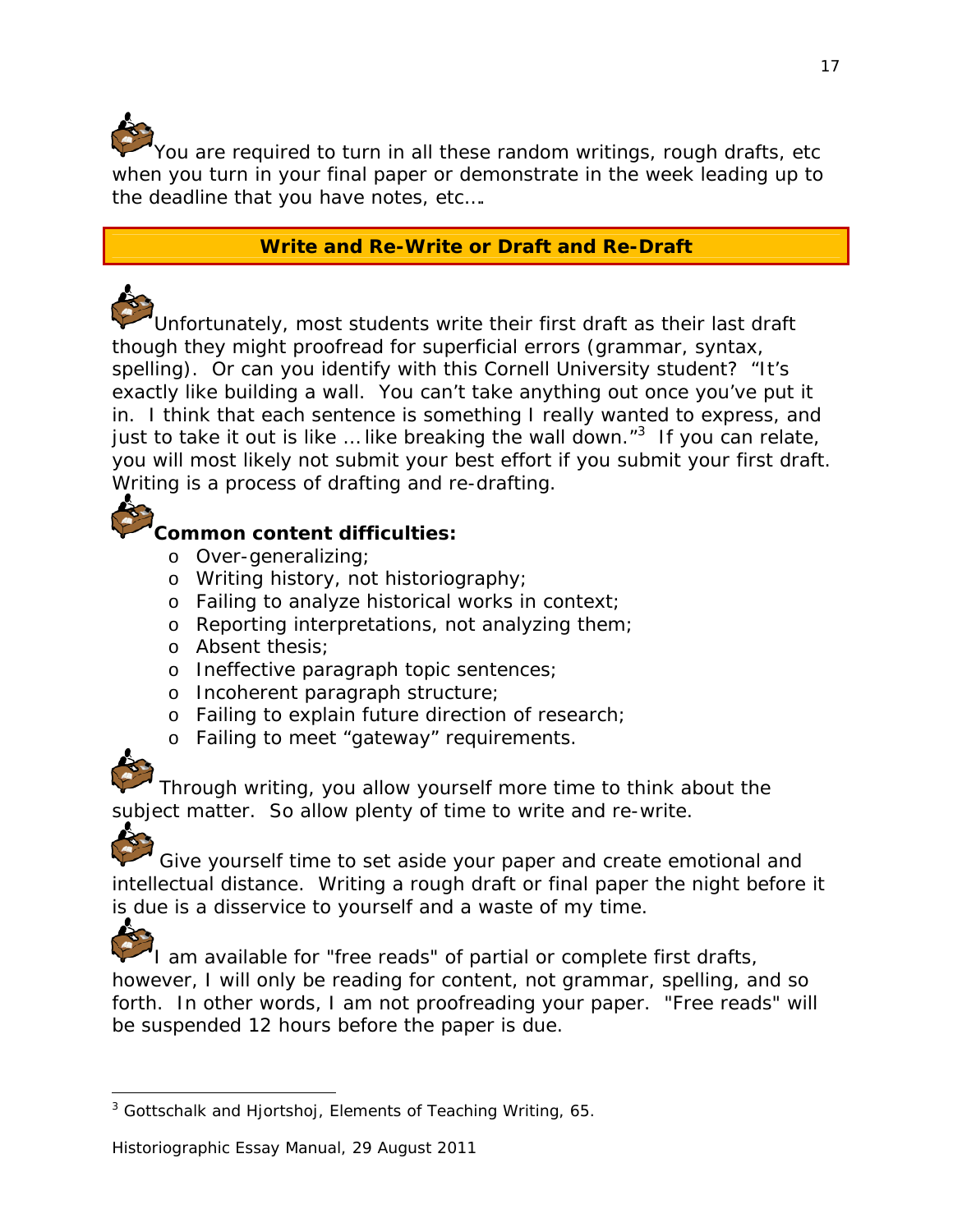You are required to turn in all these random writings, rough drafts, etc when you turn in your final paper or demonstrate in the week leading up to the deadline that you have notes, etc….

### **Write and Re-Write or Draft and Re-Draft**

Unfortunately, most students write their first draft as their last draft though they might proofread for superficial errors (grammar, syntax, spelling). Or can you identify with this Cornell University student? "It's exactly like building a wall. You can't take anything out once you've put it in. I think that each sentence is something I really wanted to express, and just to take it out is like ... like breaking the wall down." $3$  If you can relate, you will most likely not submit your best effort if you submit your first draft. Writing is a process of drafting and re-drafting.



## **Common content difficulties:**

- o Over-generalizing;
- o Writing history, not historiography;
- o Failing to analyze historical works in context;
- o Reporting interpretations, not analyzing them;
- o Absent thesis;
- o Ineffective paragraph topic sentences;
- o Incoherent paragraph structure;
- o Failing to explain future direction of research;
- o Failing to meet "gateway" requirements.

Through writing, you allow yourself more time to think about the subject matter. So allow plenty of time to write and re-write.



Give yourself time to set aside your paper and create emotional and intellectual distance. Writing a rough draft or final paper the night before it is due is a disservice to yourself and a waste of my time.

А.

I am available for "free reads" of partial or complete first drafts, however, I will only be reading for content, not grammar, spelling, and so forth. In other words, I am not proofreading your paper. "Free reads" will be suspended 12 hours before the paper is due.

<sup>1</sup> 3 Gottschalk and Hjortshoj, *Elements of Teaching Writing*, 65.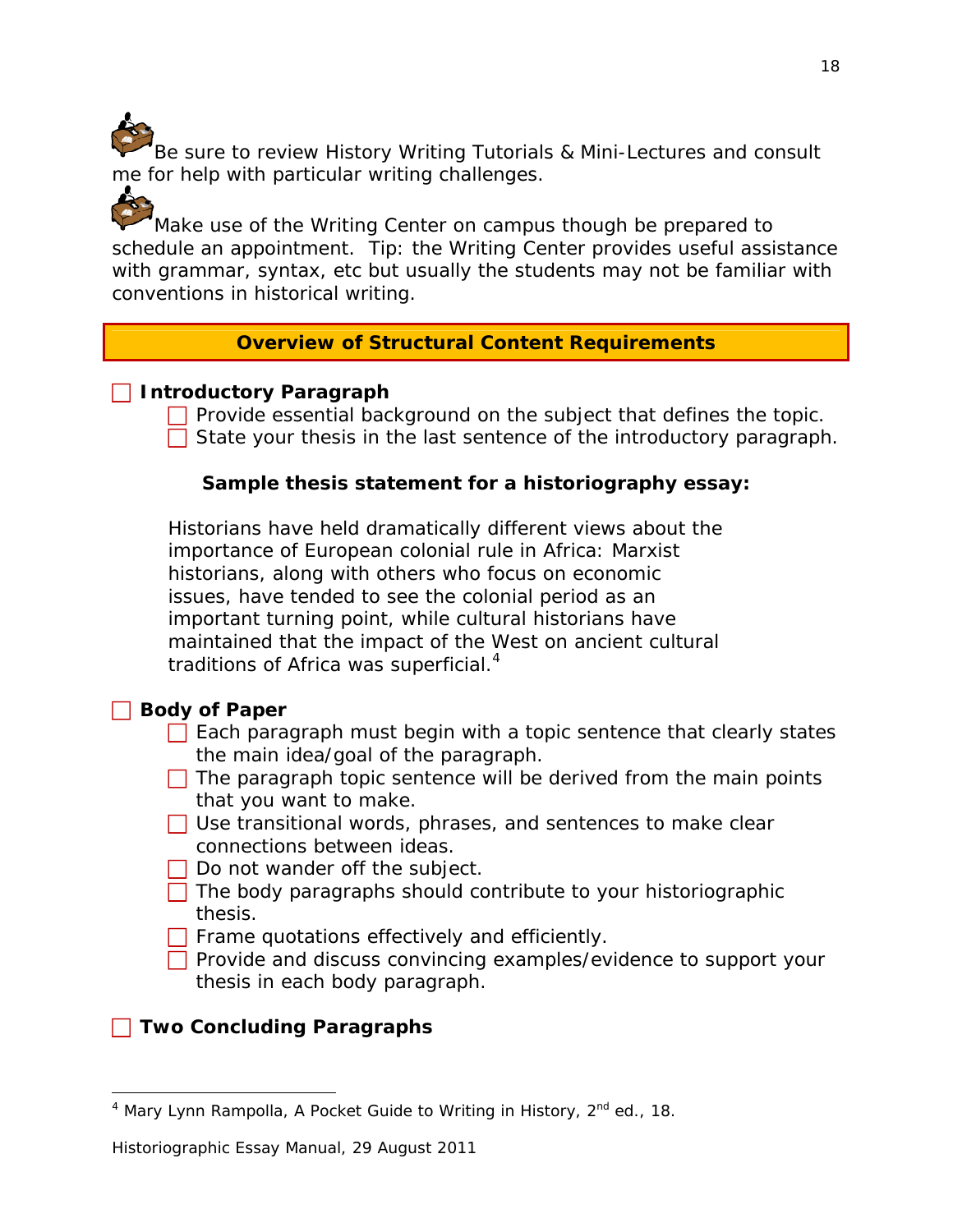Be sure to review History Writing Tutorials & Mini-Lectures and consult me for help with particular writing challenges.

Make use of the Writing Center on campus though be prepared to schedule an appointment. Tip: the Writing Center provides useful assistance with grammar, syntax, etc but usually the students may not be familiar with conventions in historical writing.

#### **Overview of Structural Content Requirements**

#### **Introductory Paragraph**

ċ.

 $\Box$  Provide essential background on the subject that defines the topic.  $\Box$  State your thesis in the last sentence of the introductory paragraph.

#### **Sample thesis statement for a historiography essay:**

Historians have held dramatically different views about the importance of European colonial rule in Africa: Marxist historians, along with others who focus on economic issues, have tended to see the colonial period as an important turning point, while cultural historians have maintained that the impact of the West on ancient cultural traditions of Africa was superficial.<sup>4</sup>

### **Body of Paper**

- $\Box$  Each paragraph must begin with a topic sentence that clearly states the main idea/goal of the paragraph.
- $\Box$  The paragraph topic sentence will be derived from the main points that you want to make.
- $\Box$  Use transitional words, phrases, and sentences to make clear connections between ideas.
- $\Box$  Do not wander off the subject.
- $\Box$  The body paragraphs should contribute to your historiographic thesis.
- $\Box$  Frame quotations effectively and efficiently.
- $\Box$  Provide and discuss convincing examples/evidence to support your thesis in each body paragraph.

## **T** Two Concluding Paragraphs

<sup>1</sup> <sup>4</sup> Mary Lynn Rampolla, *A Pocket Guide to Writing in History*, 2<sup>nd</sup> ed., 18.